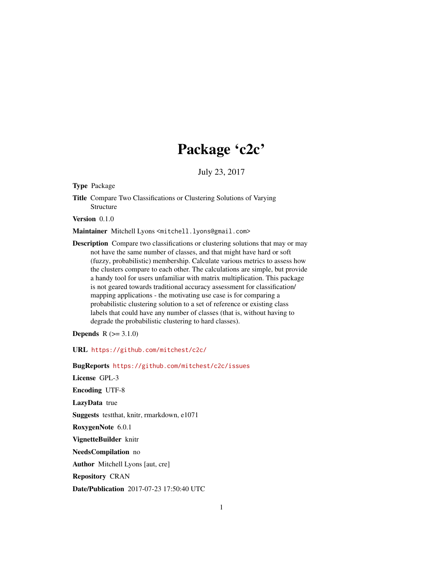## Package 'c2c'

July 23, 2017

Type Package

Title Compare Two Classifications or Clustering Solutions of Varying Structure

Version 0.1.0

Maintainer Mitchell Lyons <mitchell.lyons@gmail.com>

Description Compare two classifications or clustering solutions that may or may not have the same number of classes, and that might have hard or soft (fuzzy, probabilistic) membership. Calculate various metrics to assess how the clusters compare to each other. The calculations are simple, but provide a handy tool for users unfamiliar with matrix multiplication. This package is not geared towards traditional accuracy assessment for classification/ mapping applications - the motivating use case is for comparing a probabilistic clustering solution to a set of reference or existing class labels that could have any number of classes (that is, without having to degrade the probabilistic clustering to hard classes).

**Depends**  $R (= 3.1.0)$ 

URL <https://github.com/mitchest/c2c/>

BugReports <https://github.com/mitchest/c2c/issues>

License GPL-3 Encoding UTF-8 LazyData true Suggests testthat, knitr, rmarkdown, e1071 RoxygenNote 6.0.1 VignetteBuilder knitr NeedsCompilation no Author Mitchell Lyons [aut, cre] Repository CRAN

Date/Publication 2017-07-23 17:50:40 UTC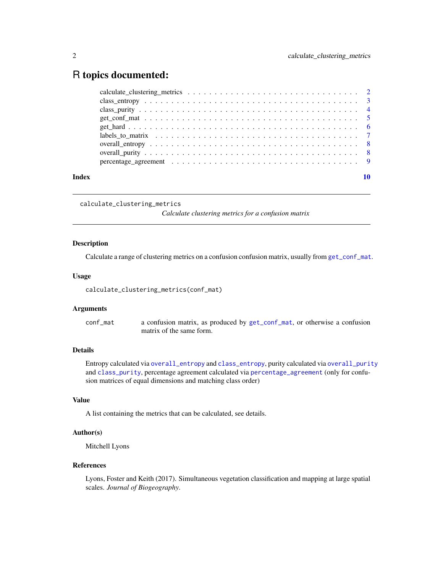### <span id="page-1-0"></span>R topics documented:

| Index |  |
|-------|--|

<span id="page-1-1"></span>calculate\_clustering\_metrics

*Calculate clustering metrics for a confusion matrix*

#### Description

Calculate a range of clustering metrics on a confusion confusion matrix, usually from [get\\_conf\\_mat](#page-4-1).

#### Usage

calculate\_clustering\_metrics(conf\_mat)

#### Arguments

conf\_mat a confusion matrix, as produced by [get\\_conf\\_mat](#page-4-1), or otherwise a confusion matrix of the same form.

#### Details

Entropy calculated via [overall\\_entropy](#page-7-1) and [class\\_entropy](#page-2-1), purity calculated via [overall\\_purity](#page-7-2) and [class\\_purity](#page-3-1), percentage agreement calculated via [percentage\\_agreement](#page-8-1) (only for confusion matrices of equal dimensions and matching class order)

#### Value

A list containing the metrics that can be calculated, see details.

#### Author(s)

Mitchell Lyons

#### References

Lyons, Foster and Keith (2017). Simultaneous vegetation classification and mapping at large spatial scales. *Journal of Biogeography*.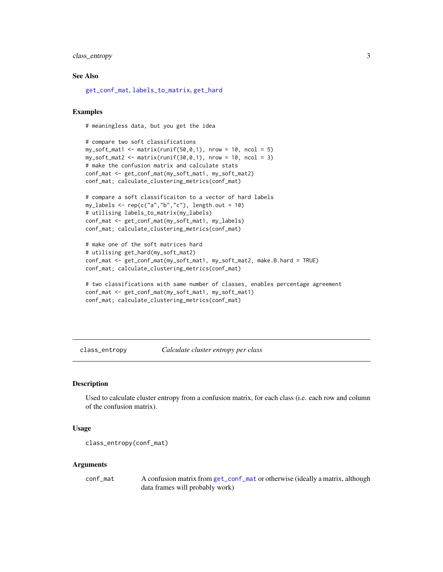#### <span id="page-2-0"></span>class\_entropy 3

#### See Also

[get\\_conf\\_mat](#page-4-1), [labels\\_to\\_matrix](#page-6-1), [get\\_hard](#page-5-1)

#### Examples

# meaningless data, but you get the idea

```
# compare two soft classifications
my\_soft\_mat1 \leq max(runif(50, 0, 1), nrow = 10, ncol = 5)my\_soft\_mat2 \leq \text{matrix}(\text{runif}(30, 0, 1), \text{ nrow} = 10, \text{ ncol} = 3)# make the confusion matrix and calculate stats
conf_mat <- get_conf_mat(my_soft_mat1, my_soft_mat2)
conf_mat; calculate_clustering_metrics(conf_mat)
```

```
# compare a soft classificaiton to a vector of hard labels
my_labels \leftarrow rep(c("a", "b", "c"), length.out = 10)# utilising labels_to_matrix(my_labels)
conf_mat <- get_conf_mat(my_soft_mat1, my_labels)
conf_mat; calculate_clustering_metrics(conf_mat)
```

```
# make one of the soft matrices hard
# utilising get_hard(my_soft_mat2)
conf_mat <- get_conf_mat(my_soft_mat1, my_soft_mat2, make.B.hard = TRUE)
conf_mat; calculate_clustering_metrics(conf_mat)
```

```
# two classifications with same number of classes, enables percentage agreement
conf_mat <- get_conf_mat(my_soft_mat1, my_soft_mat1)
conf_mat; calculate_clustering_metrics(conf_mat)
```
<span id="page-2-1"></span>class\_entropy *Calculate cluster entropy per class*

#### Description

Used to calculate cluster entropy from a confusion matrix, for each class (i.e. each row and column of the confusion matrix).

#### Usage

```
class_entropy(conf_mat)
```
#### Arguments

conf\_mat A confusion matrix from [get\\_conf\\_mat](#page-4-1) or otherwise (ideally a matrix, although data frames will probably work)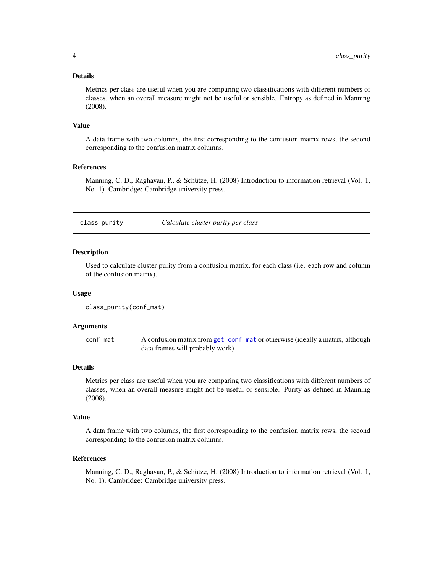#### <span id="page-3-0"></span>Details

Metrics per class are useful when you are comparing two classifications with different numbers of classes, when an overall measure might not be useful or sensible. Entropy as defined in Manning (2008).

#### Value

A data frame with two columns, the first corresponding to the confusion matrix rows, the second corresponding to the confusion matrix columns.

#### References

Manning, C. D., Raghavan, P., & Schütze, H. (2008) Introduction to information retrieval (Vol. 1, No. 1). Cambridge: Cambridge university press.

<span id="page-3-1"></span>class\_purity *Calculate cluster purity per class*

#### Description

Used to calculate cluster purity from a confusion matrix, for each class (i.e. each row and column of the confusion matrix).

#### Usage

```
class_purity(conf_mat)
```
#### Arguments

conf\_mat A confusion matrix from [get\\_conf\\_mat](#page-4-1) or otherwise (ideally a matrix, although data frames will probably work)

#### Details

Metrics per class are useful when you are comparing two classifications with different numbers of classes, when an overall measure might not be useful or sensible. Purity as defined in Manning (2008).

#### Value

A data frame with two columns, the first corresponding to the confusion matrix rows, the second corresponding to the confusion matrix columns.

#### References

Manning, C. D., Raghavan, P., & Schütze, H. (2008) Introduction to information retrieval (Vol. 1, No. 1). Cambridge: Cambridge university press.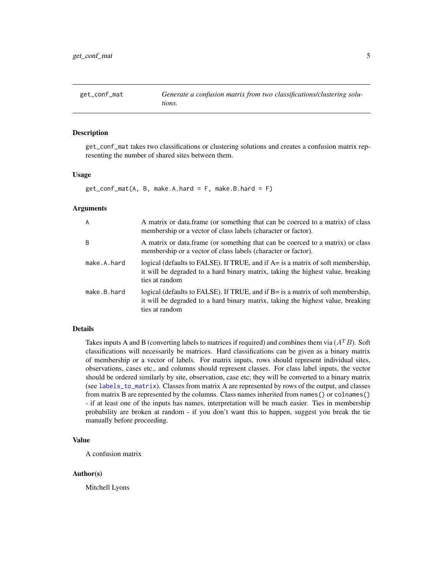<span id="page-4-1"></span><span id="page-4-0"></span>get\_conf\_mat *Generate a confusion matrix from two classifications/clustering solutions.*

#### Description

get\_conf\_mat takes two classifications or clustering solutions and creates a confusion matrix representing the number of shared sites between them.

#### Usage

```
get\_conf\_mat(A, B, make.A.hard = F, make.B.hard = F)
```
#### **Arguments**

| A           | A matrix or data frame (or something that can be coerced to a matrix) of class<br>membership or a vector of class labels (character or factor).                                      |
|-------------|--------------------------------------------------------------------------------------------------------------------------------------------------------------------------------------|
| B           | A matrix or data frame (or something that can be coerced to a matrix) or class<br>membership or a vector of class labels (character or factor).                                      |
| make.A.hard | logical (defaults to FALSE). If TRUE, and if A= is a matrix of soft membership,<br>it will be degraded to a hard binary matrix, taking the highest value, breaking<br>ties at random |
| make.B.hard | logical (defaults to FALSE). If TRUE, and if B= is a matrix of soft membership,<br>it will be degraded to a hard binary matrix, taking the highest value, breaking<br>ties at random |

#### Details

Takes inputs A and B (converting labels to matrices if required) and combines them via  $(A^T B)$ . Soft classifications will necessarily be matrices. Hard classifications can be given as a binary matrix of membership or a vector of labels. For matrix inputs, rows should represent individual sites, observations, cases etc., and columns should represent classes. For class label inputs, the vector should be ordered similarly by site, observation, case etc; they will be converted to a binary matrix (see [labels\\_to\\_matrix](#page-6-1)). Classes from matrix A are represented by rows of the output, and classes from matrix B are represented by the columns. Class names inherited from names() or colnames() - if at least one of the inputs has names, interpretation will be much easier. Ties in membership probability are broken at random - if you don't want this to happen, suggest you break the tie manually before proceeding.

#### Value

A confusion matrix

#### Author(s)

Mitchell Lyons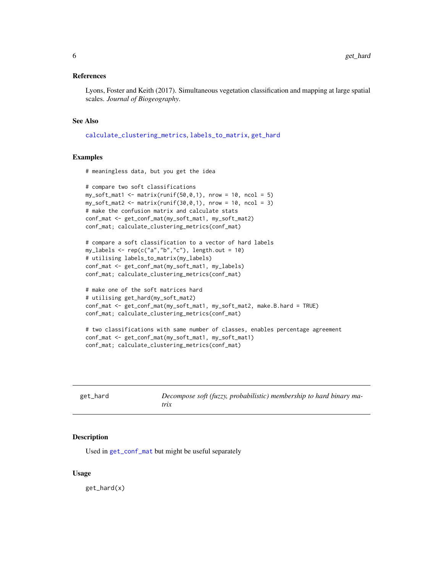#### <span id="page-5-0"></span>References

Lyons, Foster and Keith (2017). Simultaneous vegetation classification and mapping at large spatial scales. *Journal of Biogeography*.

#### See Also

[calculate\\_clustering\\_metrics](#page-1-1), [labels\\_to\\_matrix](#page-6-1), [get\\_hard](#page-5-1)

#### Examples

# meaningless data, but you get the idea

```
# compare two soft classifications
my\_soft\_mat1 \leq \text{matrix}(\text{runif}(50, 0, 1), \text{ nrow} = 10, \text{ ncol} = 5)my\_soft\_mat2 \leftarrow matrix(runif(30,0,1), nrow = 10, ncol = 3)# make the confusion matrix and calculate stats
conf_mat <- get_conf_mat(my_soft_mat1, my_soft_mat2)
conf_mat; calculate_clustering_metrics(conf_mat)
```

```
# compare a soft classification to a vector of hard labels
my_labels <- rep(c("a","b","c"), length.out = 10)
# utilising labels_to_matrix(my_labels)
conf_mat <- get_conf_mat(my_soft_mat1, my_labels)
conf_mat; calculate_clustering_metrics(conf_mat)
```

```
# make one of the soft matrices hard
# utilising get_hard(my_soft_mat2)
conf_mat <- get_conf_mat(my_soft_mat1, my_soft_mat2, make.B.hard = TRUE)
conf_mat; calculate_clustering_metrics(conf_mat)
```

```
# two classifications with same number of classes, enables percentage agreement
conf_mat <- get_conf_mat(my_soft_mat1, my_soft_mat1)
conf_mat; calculate_clustering_metrics(conf_mat)
```
<span id="page-5-1"></span>

| get_hard | Decompose soft (fuzzy, probabilistic) membership to hard binary ma-<br>trix |
|----------|-----------------------------------------------------------------------------|
|          |                                                                             |

#### Description

Used in [get\\_conf\\_mat](#page-4-1) but might be useful separately

#### Usage

get\_hard(x)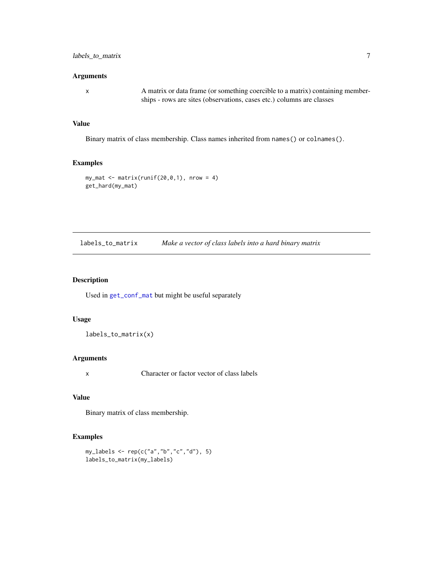#### <span id="page-6-0"></span>Arguments

x A matrix or data frame (or something coercible to a matrix) containing memberships - rows are sites (observations, cases etc.) columns are classes

#### Value

Binary matrix of class membership. Class names inherited from names() or colnames().

#### Examples

```
my_matrix <- matrix(runif(20,0,1), nrow = 4)
get_hard(my_mat)
```
<span id="page-6-1"></span>labels\_to\_matrix *Make a vector of class labels into a hard binary matrix*

#### Description

Used in [get\\_conf\\_mat](#page-4-1) but might be useful separately

#### Usage

labels\_to\_matrix(x)

#### Arguments

x Character or factor vector of class labels

#### Value

Binary matrix of class membership.

#### Examples

```
my_labels <- rep(c("a","b","c","d"), 5)
labels_to_matrix(my_labels)
```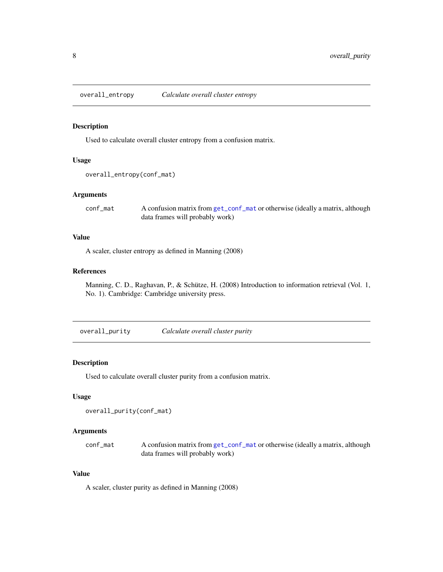<span id="page-7-1"></span><span id="page-7-0"></span>overall\_entropy *Calculate overall cluster entropy*

#### Description

Used to calculate overall cluster entropy from a confusion matrix.

#### Usage

```
overall_entropy(conf_mat)
```
#### Arguments

conf\_mat A confusion matrix from [get\\_conf\\_mat](#page-4-1) or otherwise (ideally a matrix, although data frames will probably work)

#### Value

A scaler, cluster entropy as defined in Manning (2008)

#### References

Manning, C. D., Raghavan, P., & Schütze, H. (2008) Introduction to information retrieval (Vol. 1, No. 1). Cambridge: Cambridge university press.

<span id="page-7-2"></span>overall\_purity *Calculate overall cluster purity*

#### Description

Used to calculate overall cluster purity from a confusion matrix.

#### Usage

```
overall_purity(conf_mat)
```
#### Arguments

conf\_mat A confusion matrix from [get\\_conf\\_mat](#page-4-1) or otherwise (ideally a matrix, although data frames will probably work)

#### Value

A scaler, cluster purity as defined in Manning (2008)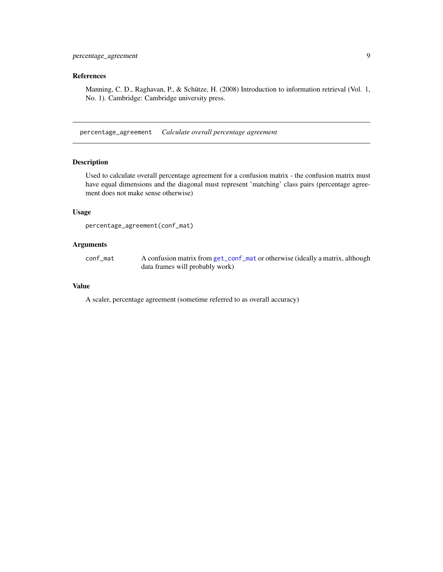#### <span id="page-8-0"></span>References

Manning, C. D., Raghavan, P., & Schütze, H. (2008) Introduction to information retrieval (Vol. 1, No. 1). Cambridge: Cambridge university press.

<span id="page-8-1"></span>percentage\_agreement *Calculate overall percentage agreement*

#### Description

Used to calculate overall percentage agreement for a confusion matrix - the confusion matrix must have equal dimensions and the diagonal must represent 'matching' class pairs (percentage agreement does not make sense otherwise)

#### Usage

```
percentage_agreement(conf_mat)
```
#### Arguments

conf\_mat A confusion matrix from [get\\_conf\\_mat](#page-4-1) or otherwise (ideally a matrix, although data frames will probably work)

#### Value

A scaler, percentage agreement (sometime referred to as overall accuracy)